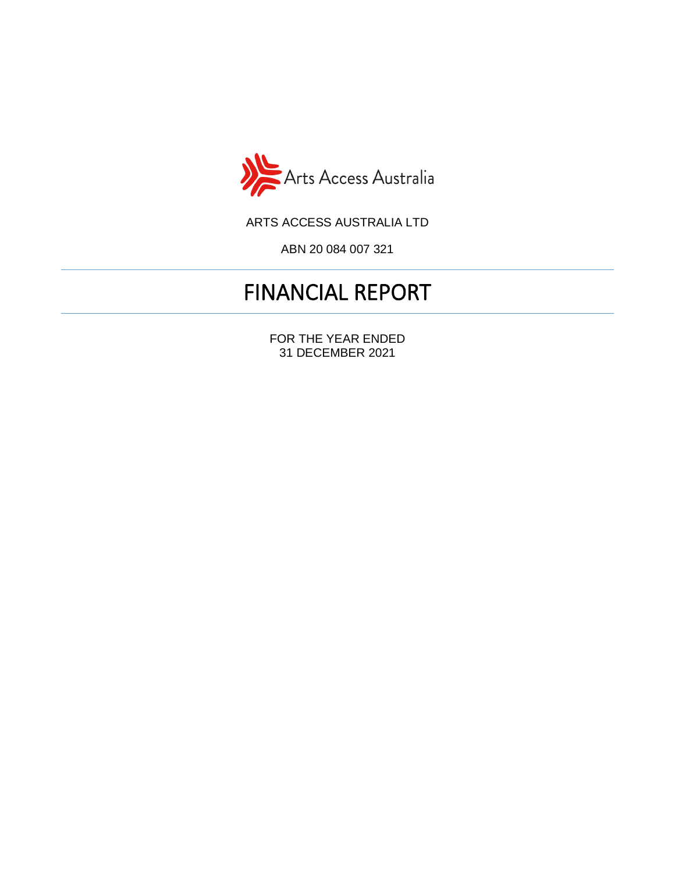

ARTS ACCESS AUSTRALIA LTD

ABN 20 084 007 321

# FINANCIAL REPORT

FOR THE YEAR ENDED 31 DECEMBER 2021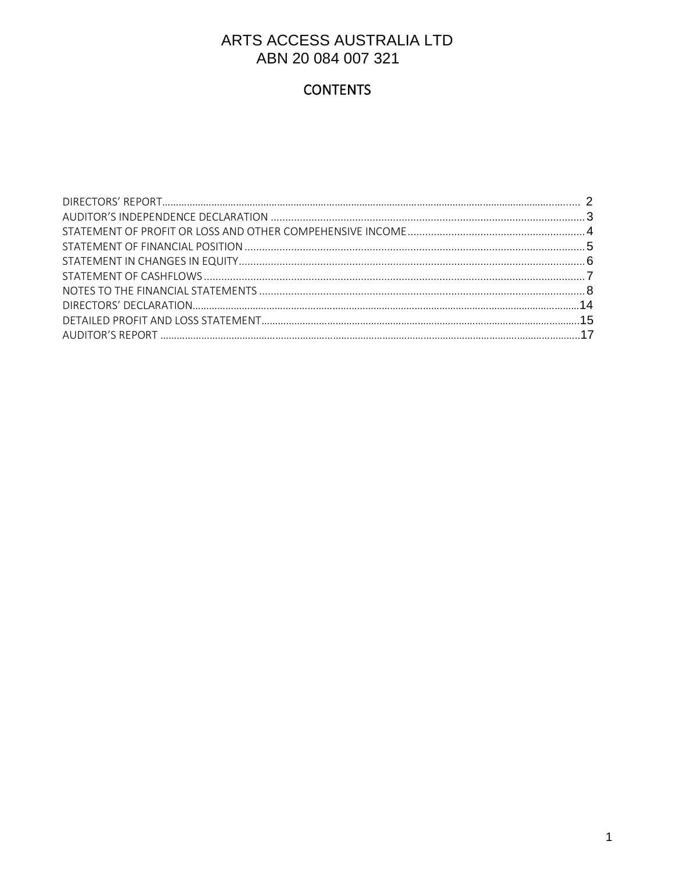# **CONTENTS**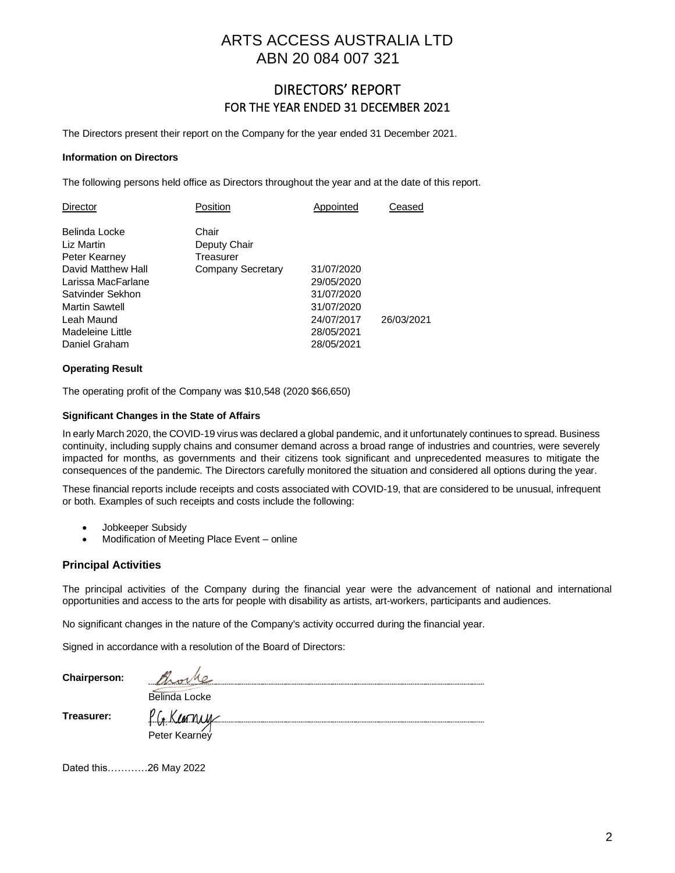### DIRECTORS' REPORT FOR THE YEAR ENDED 31 DECEMBER 2021

The Directors present their report on the Company for the year ended 31 December 2021.

#### **Information on Directors**

The following persons held office as Directors throughout the year and at the date of this report.

| <b>Director</b>                                                                                                                                                                          | Position                                                | Appointed                                                                                      | Ceased     |
|------------------------------------------------------------------------------------------------------------------------------------------------------------------------------------------|---------------------------------------------------------|------------------------------------------------------------------------------------------------|------------|
| Belinda Locke<br>Liz Martin<br>Peter Kearney<br>David Matthew Hall<br>Larissa MacFarlane<br>Satvinder Sekhon<br><b>Martin Sawtell</b><br>Leah Maund<br>Madeleine Little<br>Daniel Graham | Chair<br>Deputy Chair<br>Treasurer<br>Company Secretary | 31/07/2020<br>29/05/2020<br>31/07/2020<br>31/07/2020<br>24/07/2017<br>28/05/2021<br>28/05/2021 | 26/03/2021 |
|                                                                                                                                                                                          |                                                         |                                                                                                |            |

#### **Operating Result**

The operating profit of the Company was \$10,548 (2020 \$66,650)

#### **Significant Changes in the State of Affairs**

In early March 2020, the COVID-19 virus was declared a global pandemic, and it unfortunately continues to spread. Business continuity, including supply chains and consumer demand across a broad range of industries and countries, were severely impacted for months, as governments and their citizens took significant and unprecedented measures to mitigate the consequences of the pandemic. The Directors carefully monitored the situation and considered all options during the year.

These financial reports include receipts and costs associated with COVID-19, that are considered to be unusual, infrequent or both. Examples of such receipts and costs include the following:

- Jobkeeper Subsidy
- Modification of Meeting Place Event online

#### **Principal Activities**

The principal activities of the Company during the financial year were the advancement of national and international opportunities and access to the arts for people with disability as artists, art-workers, participants and audiences.

No significant changes in the nature of the Company's activity occurred during the financial year.

Signed in accordance with a resolution of the Board of Directors:

| Chairperson: |               |
|--------------|---------------|
|              | Belinda Locke |
| Treasurer:   |               |
|              | Peter Kearney |
|              |               |

Dated this…………26 May 2022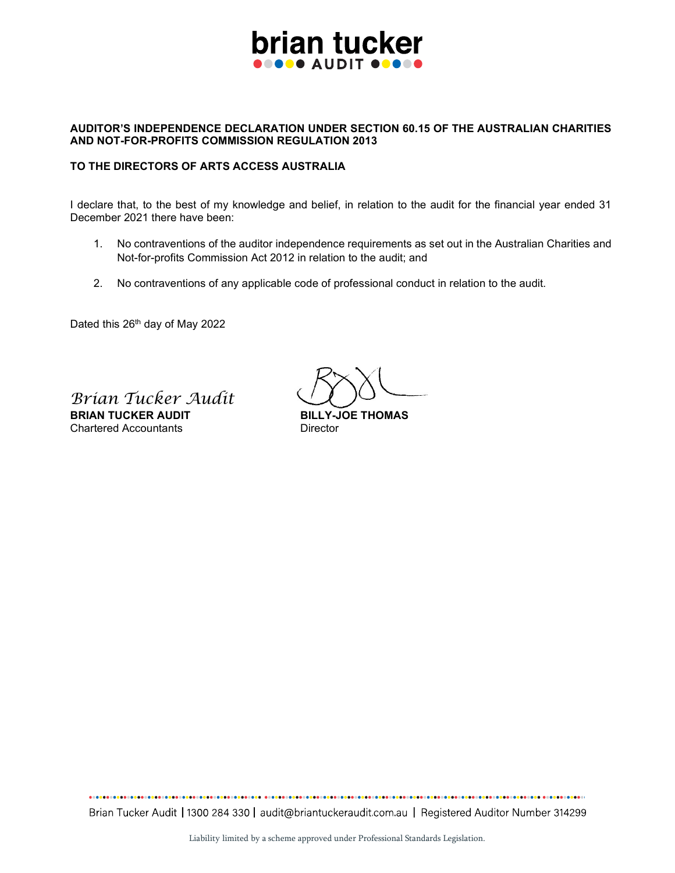

#### AUDITOR'S INDEPENDENCE DECLARATION UNDER SECTION 60.15 OF THE AUSTRALIAN CHARITIES AND NOT-FOR-PROFITS COMMISSION REGULATION 2013

#### TO THE DIRECTORS OF ARTS ACCESS AUSTRALIA

I declare that, to the best of my knowledge and belief, in relation to the audit for the financial year ended 31 December 2021 there have been:

- 1. No contraventions of the auditor independence requirements as set out in the Australian Charities and Not-for-profits Commission Act 2012 in relation to the audit; and
- 2. No contraventions of any applicable code of professional conduct in relation to the audit.

Dated this 26<sup>th</sup> day of May 2022

Brian Tucker Audit BRIAN TUCKER AUDIT BILLY-JOE THOMAS Chartered Accountants **Director** 

Brian Tucker Audit | 1300 284 330 | audit@briantuckeraudit.com.au | Registered Auditor Number 314299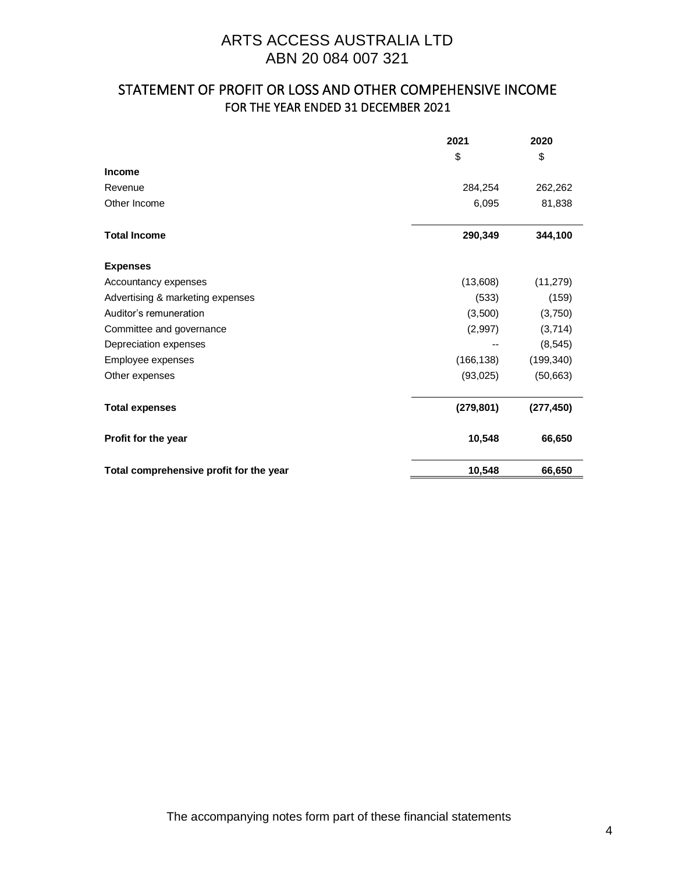### STATEMENT OF PROFIT OR LOSS AND OTHER COMPEHENSIVE INCOME FOR THE YEAR ENDED 31 DECEMBER 2021

|                                         | 2021       | 2020       |
|-----------------------------------------|------------|------------|
|                                         | \$         | \$         |
| Income                                  |            |            |
| Revenue                                 | 284,254    | 262,262    |
| Other Income                            | 6,095      | 81,838     |
| <b>Total Income</b>                     | 290,349    | 344,100    |
| <b>Expenses</b>                         |            |            |
| Accountancy expenses                    | (13,608)   | (11, 279)  |
| Advertising & marketing expenses        | (533)      | (159)      |
| Auditor's remuneration                  | (3,500)    | (3,750)    |
| Committee and governance                | (2,997)    | (3,714)    |
| Depreciation expenses                   |            | (8, 545)   |
| Employee expenses                       | (166, 138) | (199, 340) |
| Other expenses                          | (93,025)   | (50,663)   |
| <b>Total expenses</b>                   | (279, 801) | (277, 450) |
| Profit for the year                     | 10,548     | 66,650     |
| Total comprehensive profit for the year | 10,548     | 66,650     |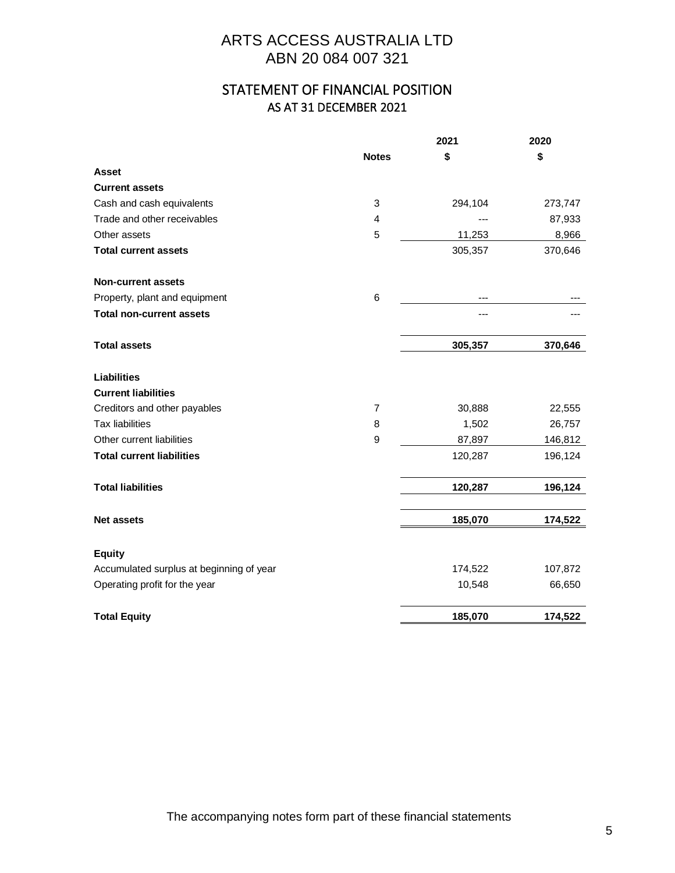### STATEMENT OF FINANCIAL POSITION AS AT 31 DECEMBER 2021

|                                          |                | 2021    | 2020    |
|------------------------------------------|----------------|---------|---------|
|                                          | <b>Notes</b>   | \$      | \$      |
| <b>Asset</b>                             |                |         |         |
| <b>Current assets</b>                    |                |         |         |
| Cash and cash equivalents                | 3              | 294,104 | 273,747 |
| Trade and other receivables              | $\overline{4}$ |         | 87,933  |
| Other assets                             | 5              | 11,253  | 8,966   |
| <b>Total current assets</b>              |                | 305,357 | 370,646 |
| <b>Non-current assets</b>                |                |         |         |
| Property, plant and equipment            | 6              |         |         |
| <b>Total non-current assets</b>          |                | ---     |         |
| <b>Total assets</b>                      |                | 305,357 | 370,646 |
| <b>Liabilities</b>                       |                |         |         |
| <b>Current liabilities</b>               |                |         |         |
| Creditors and other payables             | 7              | 30,888  | 22,555  |
| <b>Tax liabilities</b>                   | 8              | 1,502   | 26,757  |
| Other current liabilities                | 9              | 87,897  | 146,812 |
| <b>Total current liabilities</b>         |                | 120,287 | 196,124 |
| <b>Total liabilities</b>                 |                | 120,287 | 196,124 |
| <b>Net assets</b>                        |                | 185,070 | 174,522 |
| <b>Equity</b>                            |                |         |         |
| Accumulated surplus at beginning of year |                | 174,522 | 107,872 |
| Operating profit for the year            |                | 10,548  | 66,650  |
|                                          |                |         |         |
| <b>Total Equity</b>                      |                | 185,070 | 174,522 |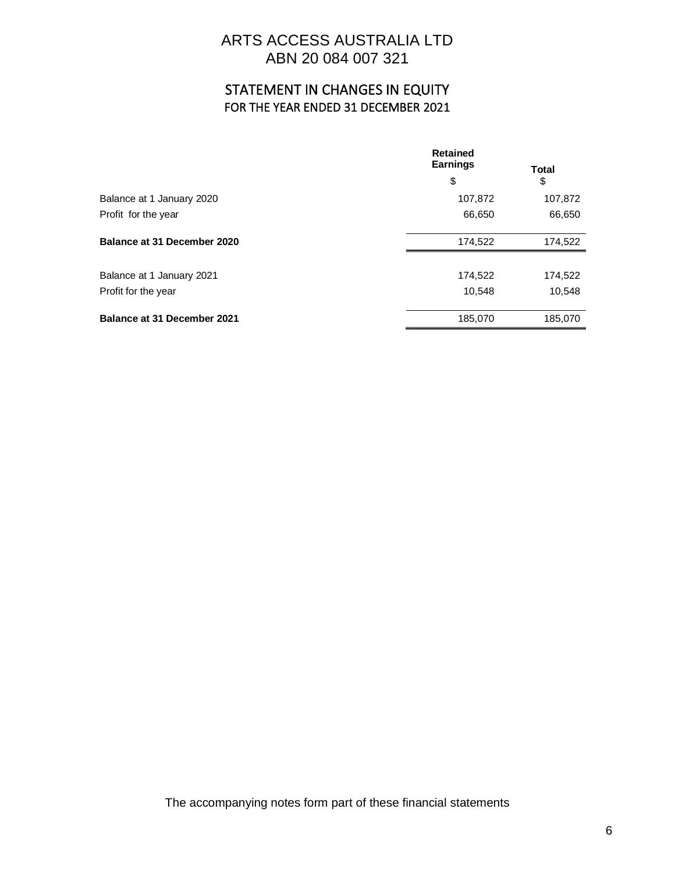### STATEMENT IN CHANGES IN EQUITY FOR THE YEAR ENDED 31 DECEMBER 2021

|                                    | <b>Retained</b><br><b>Earnings</b> | Total   |  |
|------------------------------------|------------------------------------|---------|--|
|                                    | \$                                 | \$      |  |
| Balance at 1 January 2020          | 107,872                            | 107,872 |  |
| Profit for the year                | 66,650                             | 66,650  |  |
| Balance at 31 December 2020        | 174,522                            | 174,522 |  |
| Balance at 1 January 2021          | 174,522                            | 174,522 |  |
| Profit for the year                | 10,548                             | 10,548  |  |
| <b>Balance at 31 December 2021</b> | 185,070                            | 185,070 |  |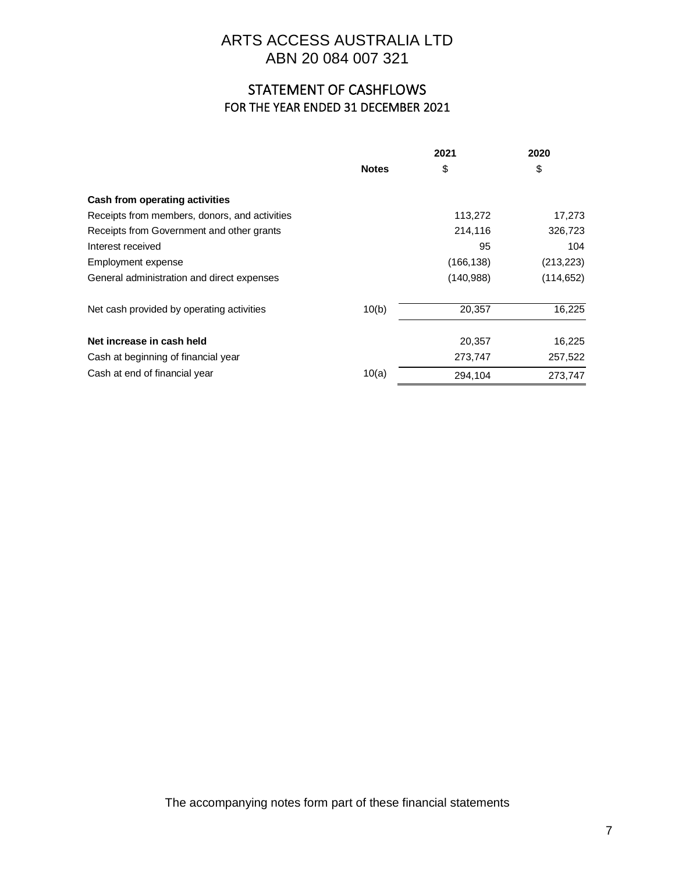# STATEMENT OF CASHFLOWS FOR THE YEAR ENDED 31 DECEMBER 2021

|                                               | 2021         |            | 2020       |
|-----------------------------------------------|--------------|------------|------------|
|                                               | <b>Notes</b> | \$         | \$         |
| Cash from operating activities                |              |            |            |
| Receipts from members, donors, and activities |              | 113,272    | 17,273     |
| Receipts from Government and other grants     |              | 214,116    | 326,723    |
| Interest received                             |              | 95         | 104        |
| Employment expense                            |              | (166, 138) | (213, 223) |
| General administration and direct expenses    |              | (140,988)  | (114, 652) |
| Net cash provided by operating activities     | 10(b)        | 20,357     | 16,225     |
| Net increase in cash held                     |              | 20,357     | 16,225     |
| Cash at beginning of financial year           |              | 273,747    | 257,522    |
| Cash at end of financial year                 | 10(a)        | 294,104    | 273,747    |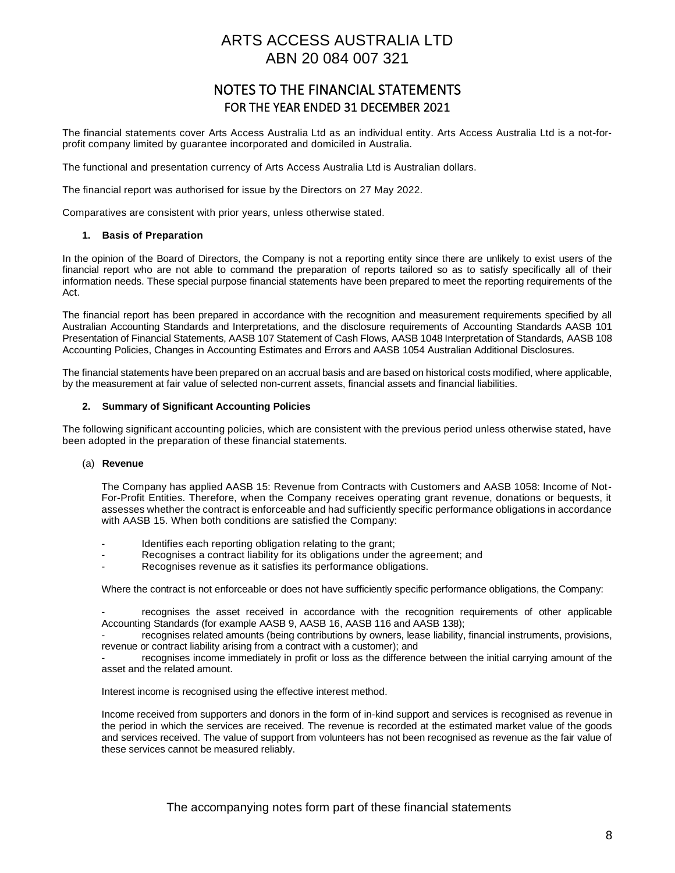### NOTES TO THE FINANCIAL STATEMENTS FOR THE YEAR ENDED 31 DECEMBER 2021

The financial statements cover Arts Access Australia Ltd as an individual entity. Arts Access Australia Ltd is a not-forprofit company limited by guarantee incorporated and domiciled in Australia.

The functional and presentation currency of Arts Access Australia Ltd is Australian dollars.

The financial report was authorised for issue by the Directors on 27 May 2022.

Comparatives are consistent with prior years, unless otherwise stated.

#### **1. Basis of Preparation**

In the opinion of the Board of Directors, the Company is not a reporting entity since there are unlikely to exist users of the financial report who are not able to command the preparation of reports tailored so as to satisfy specifically all of their information needs. These special purpose financial statements have been prepared to meet the reporting requirements of the Act.

The financial report has been prepared in accordance with the recognition and measurement requirements specified by all Australian Accounting Standards and Interpretations, and the disclosure requirements of Accounting Standards AASB 101 Presentation of Financial Statements, AASB 107 Statement of Cash Flows, AASB 1048 Interpretation of Standards, AASB 108 Accounting Policies, Changes in Accounting Estimates and Errors and AASB 1054 Australian Additional Disclosures.

The financial statements have been prepared on an accrual basis and are based on historical costs modified, where applicable, by the measurement at fair value of selected non-current assets, financial assets and financial liabilities.

#### **2. Summary of Significant Accounting Policies**

The following significant accounting policies, which are consistent with the previous period unless otherwise stated, have been adopted in the preparation of these financial statements.

#### (a) **Revenue**

The Company has applied AASB 15: Revenue from Contracts with Customers and AASB 1058: Income of Not-For-Profit Entities. Therefore, when the Company receives operating grant revenue, donations or bequests, it assesses whether the contract is enforceable and had sufficiently specific performance obligations in accordance with AASB 15. When both conditions are satisfied the Company:

- Identifies each reporting obligation relating to the grant;
- Recognises a contract liability for its obligations under the agreement; and
- Recognises revenue as it satisfies its performance obligations.

Where the contract is not enforceable or does not have sufficiently specific performance obligations, the Company:

recognises the asset received in accordance with the recognition requirements of other applicable Accounting Standards (for example AASB 9, AASB 16, AASB 116 and AASB 138);

recognises related amounts (being contributions by owners, lease liability, financial instruments, provisions, revenue or contract liability arising from a contract with a customer); and

recognises income immediately in profit or loss as the difference between the initial carrying amount of the asset and the related amount.

Interest income is recognised using the effective interest method.

Income received from supporters and donors in the form of in-kind support and services is recognised as revenue in the period in which the services are received. The revenue is recorded at the estimated market value of the goods and services received. The value of support from volunteers has not been recognised as revenue as the fair value of these services cannot be measured reliably.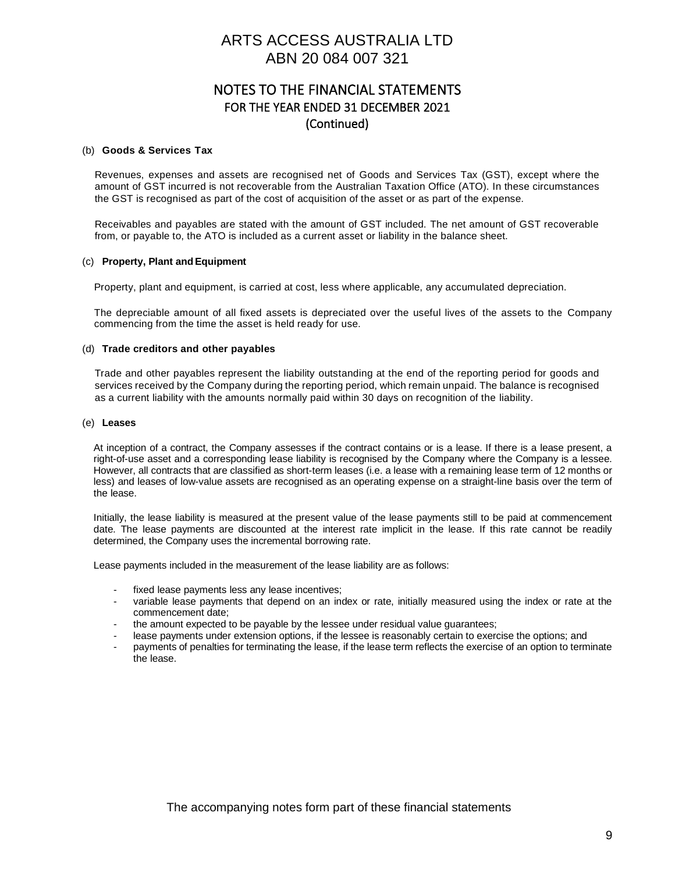### NOTES TO THE FINANCIAL STATEMENTS FOR THE YEAR ENDED 31 DECEMBER 2021 (Continued)

#### (b) **Goods & Services Tax**

Revenues, expenses and assets are recognised net of Goods and Services Tax (GST), except where the amount of GST incurred is not recoverable from the Australian Taxation Office (ATO). In these circumstances the GST is recognised as part of the cost of acquisition of the asset or as part of the expense.

Receivables and payables are stated with the amount of GST included. The net amount of GST recoverable from, or payable to, the ATO is included as a current asset or liability in the balance sheet.

#### (c) **Property, Plant andEquipment**

Property, plant and equipment, is carried at cost, less where applicable, any accumulated depreciation.

The depreciable amount of all fixed assets is depreciated over the useful lives of the assets to the Company commencing from the time the asset is held ready for use.

#### (d) **Trade creditors and other payables**

Trade and other payables represent the liability outstanding at the end of the reporting period for goods and services received by the Company during the reporting period, which remain unpaid. The balance is recognised as a current liability with the amounts normally paid within 30 days on recognition of the liability.

#### (e) **Leases**

At inception of a contract, the Company assesses if the contract contains or is a lease. If there is a lease present, a right-of-use asset and a corresponding lease liability is recognised by the Company where the Company is a lessee. However, all contracts that are classified as short-term leases (i.e. a lease with a remaining lease term of 12 months or less) and leases of low-value assets are recognised as an operating expense on a straight-line basis over the term of the lease.

Initially, the lease liability is measured at the present value of the lease payments still to be paid at commencement date. The lease payments are discounted at the interest rate implicit in the lease. If this rate cannot be readily determined, the Company uses the incremental borrowing rate.

Lease payments included in the measurement of the lease liability are as follows:

- fixed lease payments less any lease incentives;
- variable lease payments that depend on an index or rate, initially measured using the index or rate at the commencement date;
- the amount expected to be payable by the lessee under residual value guarantees;
- lease payments under extension options, if the lessee is reasonably certain to exercise the options; and
- payments of penalties for terminating the lease, if the lease term reflects the exercise of an option to terminate the lease.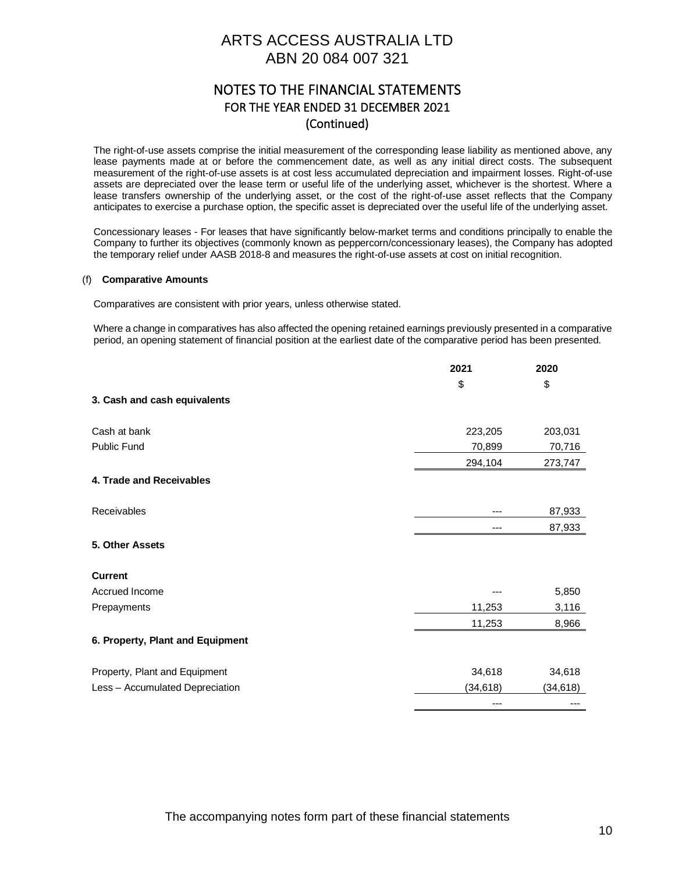### NOTES TO THE FINANCIAL STATEMENTS FOR THE YEAR ENDED 31 DECEMBER 2021 (Continued)

The right-of-use assets comprise the initial measurement of the corresponding lease liability as mentioned above, any lease payments made at or before the commencement date, as well as any initial direct costs. The subsequent measurement of the right-of-use assets is at cost less accumulated depreciation and impairment losses. Right-of-use assets are depreciated over the lease term or useful life of the underlying asset, whichever is the shortest. Where a lease transfers ownership of the underlying asset, or the cost of the right-of-use asset reflects that the Company anticipates to exercise a purchase option, the specific asset is depreciated over the useful life of the underlying asset.

Concessionary leases - For leases that have significantly below-market terms and conditions principally to enable the Company to further its objectives (commonly known as peppercorn/concessionary leases), the Company has adopted the temporary relief under AASB 2018-8 and measures the right-of-use assets at cost on initial recognition.

#### (f) **Comparative Amounts**

Comparatives are consistent with prior years, unless otherwise stated.

Where a change in comparatives has also affected the opening retained earnings previously presented in a comparative period, an opening statement of financial position at the earliest date of the comparative period has been presented.

|                                  | 2021      | 2020      |
|----------------------------------|-----------|-----------|
|                                  | \$        | \$        |
| 3. Cash and cash equivalents     |           |           |
| Cash at bank                     | 223,205   | 203,031   |
| Public Fund                      | 70,899    | 70,716    |
|                                  | 294,104   | 273,747   |
| 4. Trade and Receivables         |           |           |
| Receivables                      |           | 87,933    |
|                                  |           | 87,933    |
| 5. Other Assets                  |           |           |
| <b>Current</b>                   |           |           |
| Accrued Income                   |           | 5,850     |
| Prepayments                      | 11,253    | 3,116     |
|                                  | 11,253    | 8,966     |
| 6. Property, Plant and Equipment |           |           |
| Property, Plant and Equipment    | 34,618    | 34,618    |
| Less - Accumulated Depreciation  | (34, 618) | (34, 618) |
|                                  |           |           |
|                                  |           |           |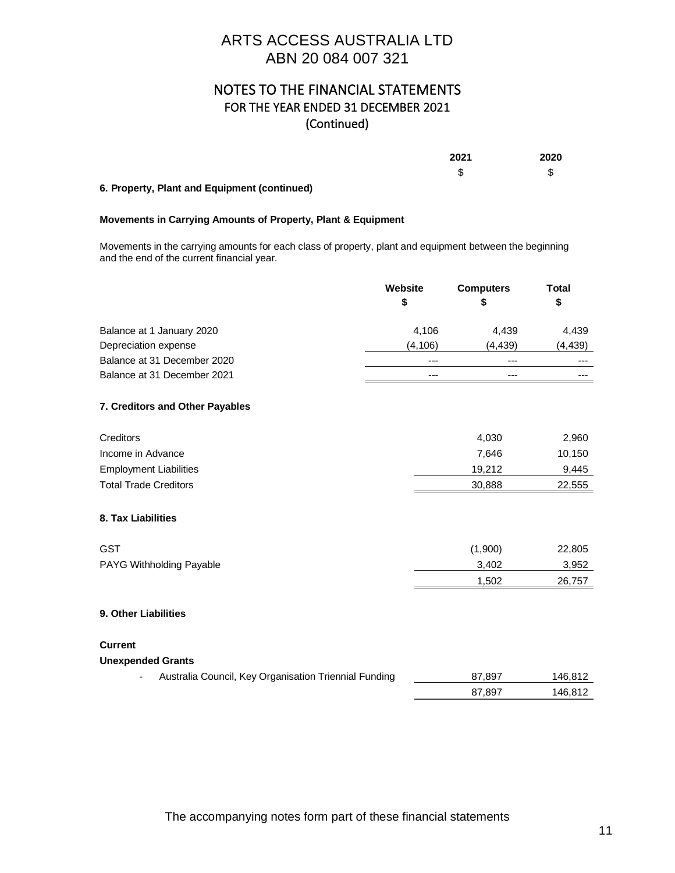### NOTES TO THE FINANCIAL STATEMENTS FOR THE YEAR ENDED 31 DECEMBER 2021 (Continued)

**2021 2020** \$ \$

### **6. Property, Plant and Equipment (continued)**

#### **Movements in Carrying Amounts of Property, Plant & Equipment**

Movements in the carrying amounts for each class of property, plant and equipment between the beginning and the end of the current financial year.

|                                                       | Website  | <b>Computers</b> | <b>Total</b> |
|-------------------------------------------------------|----------|------------------|--------------|
|                                                       | \$       | \$               | \$           |
| Balance at 1 January 2020                             | 4,106    | 4,439            | 4,439        |
| Depreciation expense                                  | (4, 106) | (4, 439)         | (4, 439)     |
| Balance at 31 December 2020                           | ---      | ---              | ---          |
| Balance at 31 December 2021                           | ---      | ---              |              |
| 7. Creditors and Other Payables                       |          |                  |              |
| Creditors                                             |          | 4,030            | 2,960        |
| Income in Advance                                     |          | 7,646            | 10,150       |
| <b>Employment Liabilities</b>                         |          | 19,212           | 9,445        |
| <b>Total Trade Creditors</b>                          |          | 30,888           | 22,555       |
| 8. Tax Liabilities                                    |          |                  |              |
| <b>GST</b>                                            |          | (1,900)          | 22,805       |
| PAYG Withholding Payable                              |          | 3,402            | 3,952        |
|                                                       |          | 1,502            | 26,757       |
| 9. Other Liabilities                                  |          |                  |              |
| <b>Current</b>                                        |          |                  |              |
| <b>Unexpended Grants</b>                              |          |                  |              |
| Australia Council, Key Organisation Triennial Funding |          | 87,897           | 146,812      |
|                                                       |          | 87,897           | 146,812      |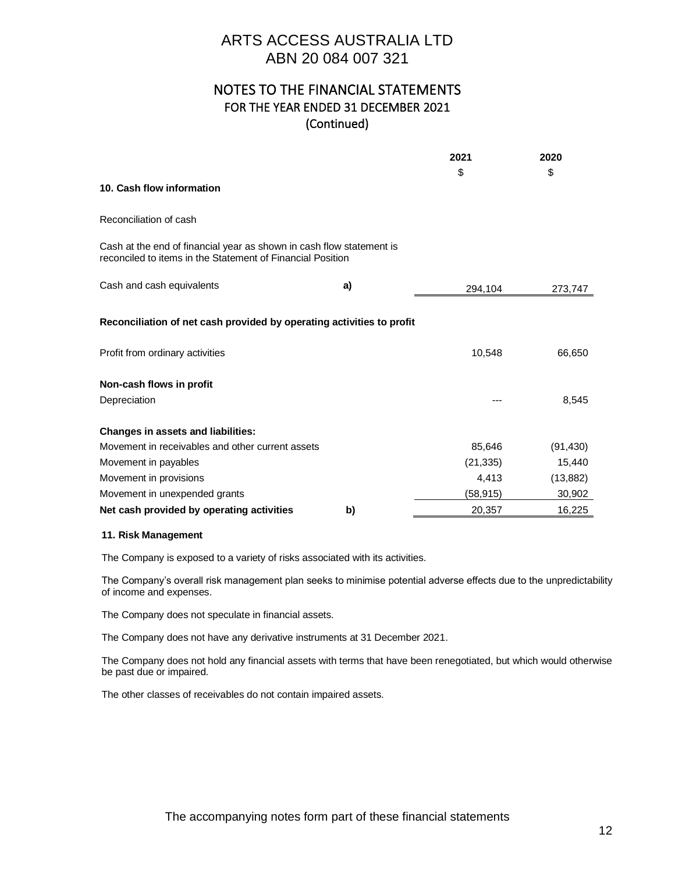### NOTES TO THE FINANCIAL STATEMENTS FOR THE YEAR ENDED 31 DECEMBER 2021 (Continued)

|                                                                                                                                    |    | 2021      | 2020      |
|------------------------------------------------------------------------------------------------------------------------------------|----|-----------|-----------|
|                                                                                                                                    |    | \$        | \$        |
| 10. Cash flow information                                                                                                          |    |           |           |
| Reconciliation of cash                                                                                                             |    |           |           |
| Cash at the end of financial year as shown in cash flow statement is<br>reconciled to items in the Statement of Financial Position |    |           |           |
| Cash and cash equivalents                                                                                                          | a) | 294,104   | 273,747   |
| Reconciliation of net cash provided by operating activities to profit                                                              |    |           |           |
| Profit from ordinary activities                                                                                                    |    | 10,548    | 66,650    |
| Non-cash flows in profit                                                                                                           |    |           |           |
| Depreciation                                                                                                                       |    |           | 8,545     |
| <b>Changes in assets and liabilities:</b>                                                                                          |    |           |           |
| Movement in receivables and other current assets                                                                                   |    | 85,646    | (91, 430) |
| Movement in payables                                                                                                               |    | (21, 335) | 15,440    |
| Movement in provisions                                                                                                             |    | 4,413     | (13, 882) |
| Movement in unexpended grants                                                                                                      |    | (58,915)  | 30,902    |
| Net cash provided by operating activities                                                                                          | b) | 20,357    | 16,225    |

#### **11. Risk Management**

The Company is exposed to a variety of risks associated with its activities.

The Company's overall risk management plan seeks to minimise potential adverse effects due to the unpredictability of income and expenses.

The Company does not speculate in financial assets.

The Company does not have any derivative instruments at 31 December 2021.

The Company does not hold any financial assets with terms that have been renegotiated, but which would otherwise be past due or impaired.

The other classes of receivables do not contain impaired assets.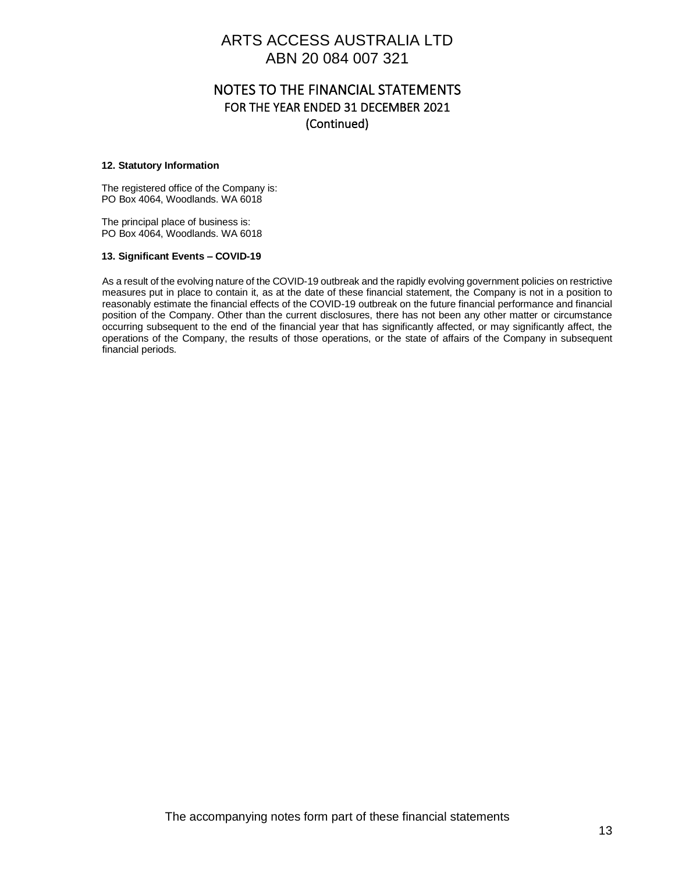### NOTES TO THE FINANCIAL STATEMENTS FOR THE YEAR ENDED 31 DECEMBER 2021 (Continued)

#### **12. Statutory Information**

The registered office of the Company is: PO Box 4064, Woodlands. WA 6018

The principal place of business is: PO Box 4064, Woodlands. WA 6018

#### **13. Significant Events – COVID-19**

As a result of the evolving nature of the COVID-19 outbreak and the rapidly evolving government policies on restrictive measures put in place to contain it, as at the date of these financial statement, the Company is not in a position to reasonably estimate the financial effects of the COVID-19 outbreak on the future financial performance and financial position of the Company. Other than the current disclosures, there has not been any other matter or circumstance occurring subsequent to the end of the financial year that has significantly affected, or may significantly affect, the operations of the Company, the results of those operations, or the state of affairs of the Company in subsequent financial periods.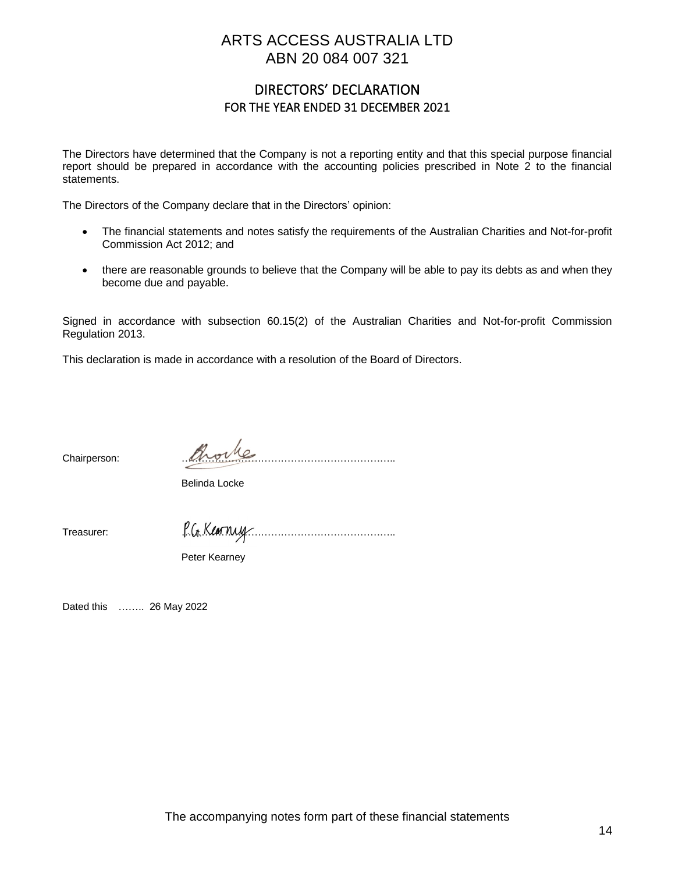### DIRECTORS' DECLARATION FOR THE YEAR ENDED 31 DECEMBER 2021

The Directors have determined that the Company is not a reporting entity and that this special purpose financial report should be prepared in accordance with the accounting policies prescribed in Note 2 to the financial statements.

The Directors of the Company declare that in the Directors' opinion:

- The financial statements and notes satisfy the requirements of the Australian Charities and Not-for-profit Commission Act 2012; and
- there are reasonable grounds to believe that the Company will be able to pay its debts as and when they become due and payable.

Signed in accordance with subsection 60.15(2) of the Australian Charities and Not-for-profit Commission Regulation 2013.

This declaration is made in accordance with a resolution of the Board of Directors.

Chairperson: *Phorte* 

Belinda Locke

Treasurer: P.G. Karnuy

Peter Kearney

Dated this …….. 26 May 2022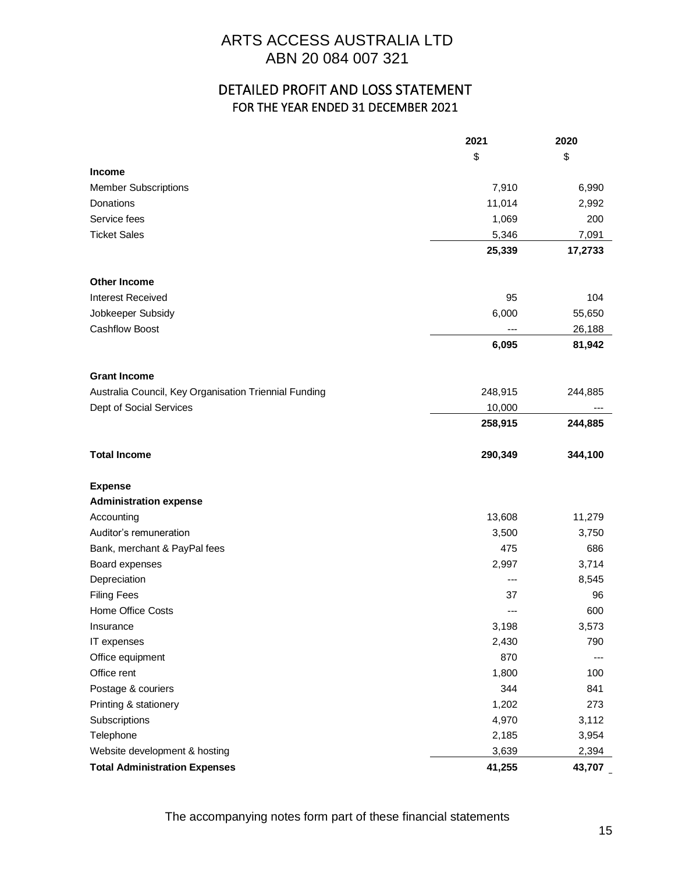### DETAILED PROFIT AND LOSS STATEMENT FOR THE YEAR ENDED 31 DECEMBER 2021

|                                                       | 2021    | 2020    |
|-------------------------------------------------------|---------|---------|
|                                                       | \$      | \$      |
| Income                                                |         |         |
| <b>Member Subscriptions</b>                           | 7,910   | 6,990   |
| Donations                                             | 11,014  | 2,992   |
| Service fees                                          | 1,069   | 200     |
| <b>Ticket Sales</b>                                   | 5,346   | 7,091   |
|                                                       | 25,339  | 17,2733 |
| <b>Other Income</b>                                   |         |         |
| <b>Interest Received</b>                              | 95      | 104     |
| Jobkeeper Subsidy                                     | 6,000   | 55,650  |
| <b>Cashflow Boost</b>                                 | ---     | 26,188  |
|                                                       | 6,095   | 81,942  |
| <b>Grant Income</b>                                   |         |         |
| Australia Council, Key Organisation Triennial Funding | 248,915 | 244,885 |
| Dept of Social Services                               | 10,000  | ---     |
|                                                       | 258,915 | 244,885 |
| <b>Total Income</b>                                   | 290,349 | 344,100 |
| <b>Expense</b>                                        |         |         |
| <b>Administration expense</b>                         |         |         |
| Accounting                                            | 13,608  | 11,279  |
| Auditor's remuneration                                | 3,500   | 3,750   |
| Bank, merchant & PayPal fees                          | 475     | 686     |
| Board expenses                                        | 2,997   | 3,714   |
| Depreciation                                          | ---     | 8,545   |
| <b>Filing Fees</b>                                    | 37      | 96      |
| Home Office Costs                                     |         | 600     |
| Insurance                                             | 3,198   | 3,573   |
| IT expenses                                           | 2,430   | 790     |
| Office equipment                                      | 870     | $---$   |
| Office rent                                           | 1,800   | 100     |
| Postage & couriers                                    | 344     | 841     |
| Printing & stationery                                 | 1,202   | 273     |
| Subscriptions                                         | 4,970   | 3,112   |
| Telephone                                             | 2,185   | 3,954   |
| Website development & hosting                         | 3,639   | 2,394   |
| <b>Total Administration Expenses</b>                  | 41,255  | 43,707  |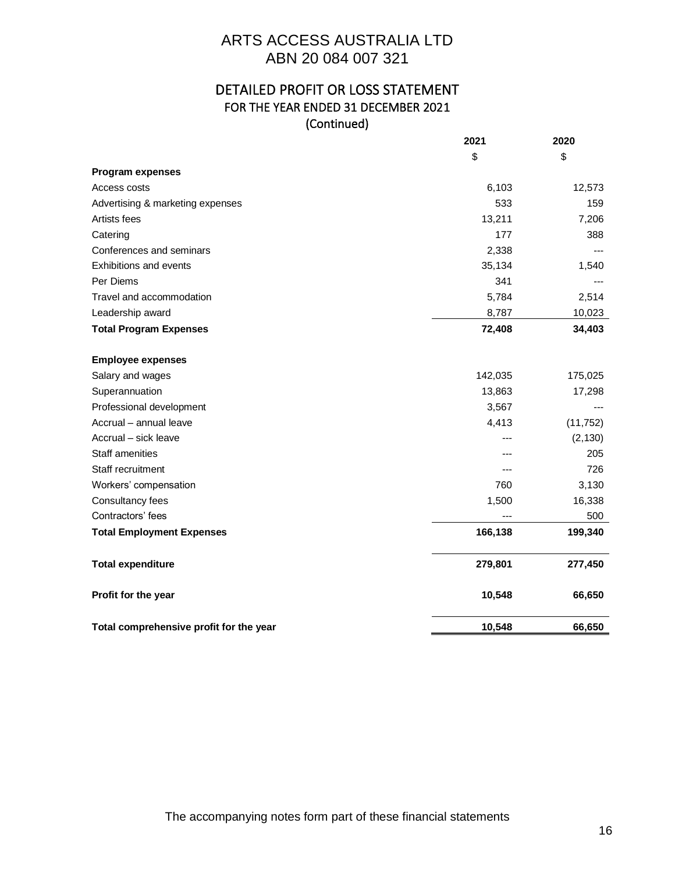### DETAILED PROFIT OR LOSS STATEMENT FOR THE YEAR ENDED 31 DECEMBER 2021 (Continued)

|                                         | 2021    | 2020      |
|-----------------------------------------|---------|-----------|
|                                         | \$      | \$        |
| <b>Program expenses</b>                 |         |           |
| Access costs                            | 6,103   | 12,573    |
| Advertising & marketing expenses        | 533     | 159       |
| Artists fees                            | 13,211  | 7,206     |
| Catering                                | 177     | 388       |
| Conferences and seminars                | 2,338   |           |
| <b>Exhibitions and events</b>           | 35,134  | 1,540     |
| Per Diems                               | 341     |           |
| Travel and accommodation                | 5,784   | 2,514     |
| Leadership award                        | 8,787   | 10,023    |
| <b>Total Program Expenses</b>           | 72,408  | 34,403    |
| <b>Employee expenses</b>                |         |           |
| Salary and wages                        | 142,035 | 175,025   |
| Superannuation                          | 13,863  | 17,298    |
| Professional development                | 3,567   |           |
| Accrual - annual leave                  | 4,413   | (11, 752) |
| Accrual - sick leave                    |         | (2, 130)  |
| <b>Staff amenities</b>                  |         | 205       |
| Staff recruitment                       |         | 726       |
| Workers' compensation                   | 760     | 3,130     |
| Consultancy fees                        | 1,500   | 16,338    |
| Contractors' fees                       |         | 500       |
| <b>Total Employment Expenses</b>        | 166,138 | 199,340   |
| <b>Total expenditure</b>                | 279,801 | 277,450   |
| Profit for the year                     | 10,548  | 66,650    |
| Total comprehensive profit for the year | 10,548  | 66,650    |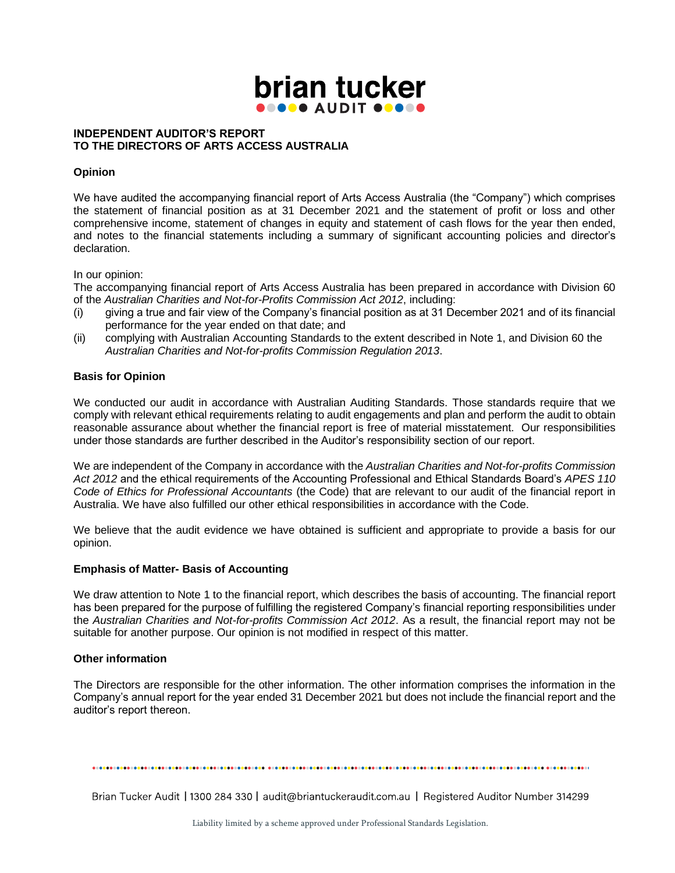

#### **INDEPENDENT AUDITOR'S REPORT TO THE DIRECTORS OF ARTS ACCESS AUSTRALIA**

#### **Opinion**

We have audited the accompanying financial report of Arts Access Australia (the "Company") which comprises the statement of financial position as at 31 December 2021 and the statement of profit or loss and other comprehensive income, statement of changes in equity and statement of cash flows for the year then ended, and notes to the financial statements including a summary of significant accounting policies and director's declaration.

In our opinion:

The accompanying financial report of Arts Access Australia has been prepared in accordance with Division 60 of the *Australian Charities and Not-for-Profits Commission Act 2012*, including:

- (i) giving a true and fair view of the Company's financial position as at 31 December 2021 and of its financial performance for the year ended on that date; and
- (ii) complying with Australian Accounting Standards to the extent described in Note 1, and Division 60 the *Australian Charities and Not-for-profits Commission Regulation 2013*.

#### **Basis for Opinion**

We conducted our audit in accordance with Australian Auditing Standards. Those standards require that we comply with relevant ethical requirements relating to audit engagements and plan and perform the audit to obtain reasonable assurance about whether the financial report is free of material misstatement. Our responsibilities under those standards are further described in the Auditor's responsibility section of our report.

We are independent of the Company in accordance with the *Australian Charities and Not-for-profits Commission Act 2012* and the ethical requirements of the Accounting Professional and Ethical Standards Board's *APES 110 Code of Ethics for Professional Accountants* (the Code) that are relevant to our audit of the financial report in Australia. We have also fulfilled our other ethical responsibilities in accordance with the Code.

We believe that the audit evidence we have obtained is sufficient and appropriate to provide a basis for our opinion.

#### **Emphasis of Matter- Basis of Accounting**

We draw attention to Note 1 to the financial report, which describes the basis of accounting. The financial report has been prepared for the purpose of fulfilling the registered Company's financial reporting responsibilities under the *Australian Charities and Not-for-profits Commission Act 2012*. As a result, the financial report may not be suitable for another purpose. Our opinion is not modified in respect of this matter.

#### **Other information**

The Directors are responsible for the other information. The other information comprises the information in the Company's annual report for the year ended 31 December 2021 but does not include the financial report and the auditor's report thereon.

Brian Tucker Audit | 1300 284 330 | audit@briantuckeraudit.com.au | Registered Auditor Number 314299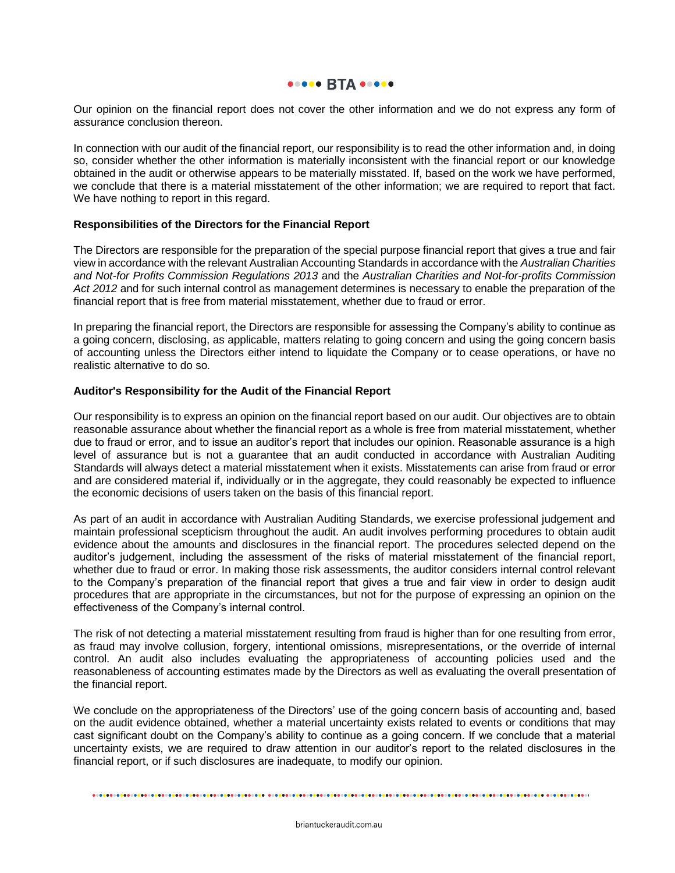#### **ODDOO BTA 00000**

Our opinion on the financial report does not cover the other information and we do not express any form of assurance conclusion thereon.

In connection with our audit of the financial report, our responsibility is to read the other information and, in doing so, consider whether the other information is materially inconsistent with the financial report or our knowledge obtained in the audit or otherwise appears to be materially misstated. If, based on the work we have performed, we conclude that there is a material misstatement of the other information; we are required to report that fact. We have nothing to report in this regard.

#### **Responsibilities of the Directors for the Financial Report**

The Directors are responsible for the preparation of the special purpose financial report that gives a true and fair view in accordance with the relevant Australian Accounting Standards in accordance with the *Australian Charities and Not-for Profits Commission Regulations 2013* and the *Australian Charities and Not-for-profits Commission Act 2012* and for such internal control as management determines is necessary to enable the preparation of the financial report that is free from material misstatement, whether due to fraud or error.

In preparing the financial report, the Directors are responsible for assessing the Company's ability to continue as a going concern, disclosing, as applicable, matters relating to going concern and using the going concern basis of accounting unless the Directors either intend to liquidate the Company or to cease operations, or have no realistic alternative to do so.

#### **Auditor's Responsibility for the Audit of the Financial Report**

Our responsibility is to express an opinion on the financial report based on our audit. Our objectives are to obtain reasonable assurance about whether the financial report as a whole is free from material misstatement, whether due to fraud or error, and to issue an auditor's report that includes our opinion. Reasonable assurance is a high level of assurance but is not a guarantee that an audit conducted in accordance with Australian Auditing Standards will always detect a material misstatement when it exists. Misstatements can arise from fraud or error and are considered material if, individually or in the aggregate, they could reasonably be expected to influence the economic decisions of users taken on the basis of this financial report.

As part of an audit in accordance with Australian Auditing Standards, we exercise professional judgement and maintain professional scepticism throughout the audit. An audit involves performing procedures to obtain audit evidence about the amounts and disclosures in the financial report. The procedures selected depend on the auditor's judgement, including the assessment of the risks of material misstatement of the financial report, whether due to fraud or error. In making those risk assessments, the auditor considers internal control relevant to the Company's preparation of the financial report that gives a true and fair view in order to design audit procedures that are appropriate in the circumstances, but not for the purpose of expressing an opinion on the effectiveness of the Company's internal control.

The risk of not detecting a material misstatement resulting from fraud is higher than for one resulting from error, as fraud may involve collusion, forgery, intentional omissions, misrepresentations, or the override of internal control. An audit also includes evaluating the appropriateness of accounting policies used and the reasonableness of accounting estimates made by the Directors as well as evaluating the overall presentation of the financial report.

We conclude on the appropriateness of the Directors' use of the going concern basis of accounting and, based on the audit evidence obtained, whether a material uncertainty exists related to events or conditions that may cast significant doubt on the Company's ability to continue as a going concern. If we conclude that a material uncertainty exists, we are required to draw attention in our auditor's report to the related disclosures in the financial report, or if such disclosures are inadequate, to modify our opinion.